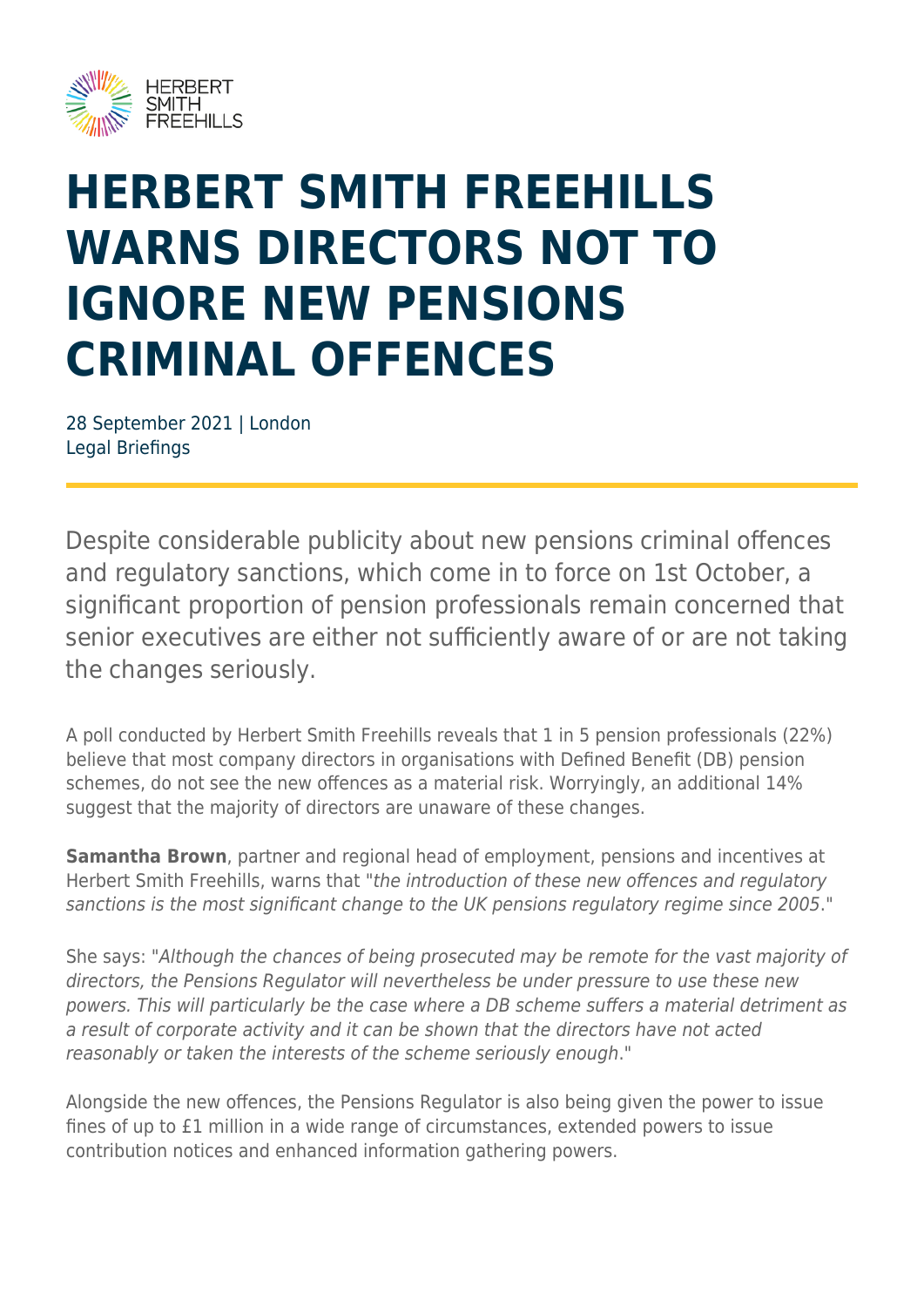

## **HERBERT SMITH FREEHILLS WARNS DIRECTORS NOT TO IGNORE NEW PENSIONS CRIMINAL OFFENCES**

28 September 2021 | London Legal Briefings

Despite considerable publicity about new pensions criminal offences and regulatory sanctions, which come in to force on 1st October, a significant proportion of pension professionals remain concerned that senior executives are either not sufficiently aware of or are not taking the changes seriously.

A poll conducted by Herbert Smith Freehills reveals that 1 in 5 pension professionals (22%) believe that most company directors in organisations with Defined Benefit (DB) pension schemes, do not see the new offences as a material risk. Worryingly, an additional 14% suggest that the majority of directors are unaware of these changes.

**Samantha Brown**, partner and regional head of employment, pensions and incentives at Herbert Smith Freehills, warns that "the introduction of these new offences and regulatory sanctions is the most significant change to the UK pensions regulatory regime since 2005."

She says: "Although the chances of being prosecuted may be remote for the vast majority of directors, the Pensions Regulator will nevertheless be under pressure to use these new powers. This will particularly be the case where a DB scheme suffers a material detriment as a result of corporate activity and it can be shown that the directors have not acted reasonably or taken the interests of the scheme seriously enough."

Alongside the new offences, the Pensions Regulator is also being given the power to issue fines of up to £1 million in a wide range of circumstances, extended powers to issue contribution notices and enhanced information gathering powers.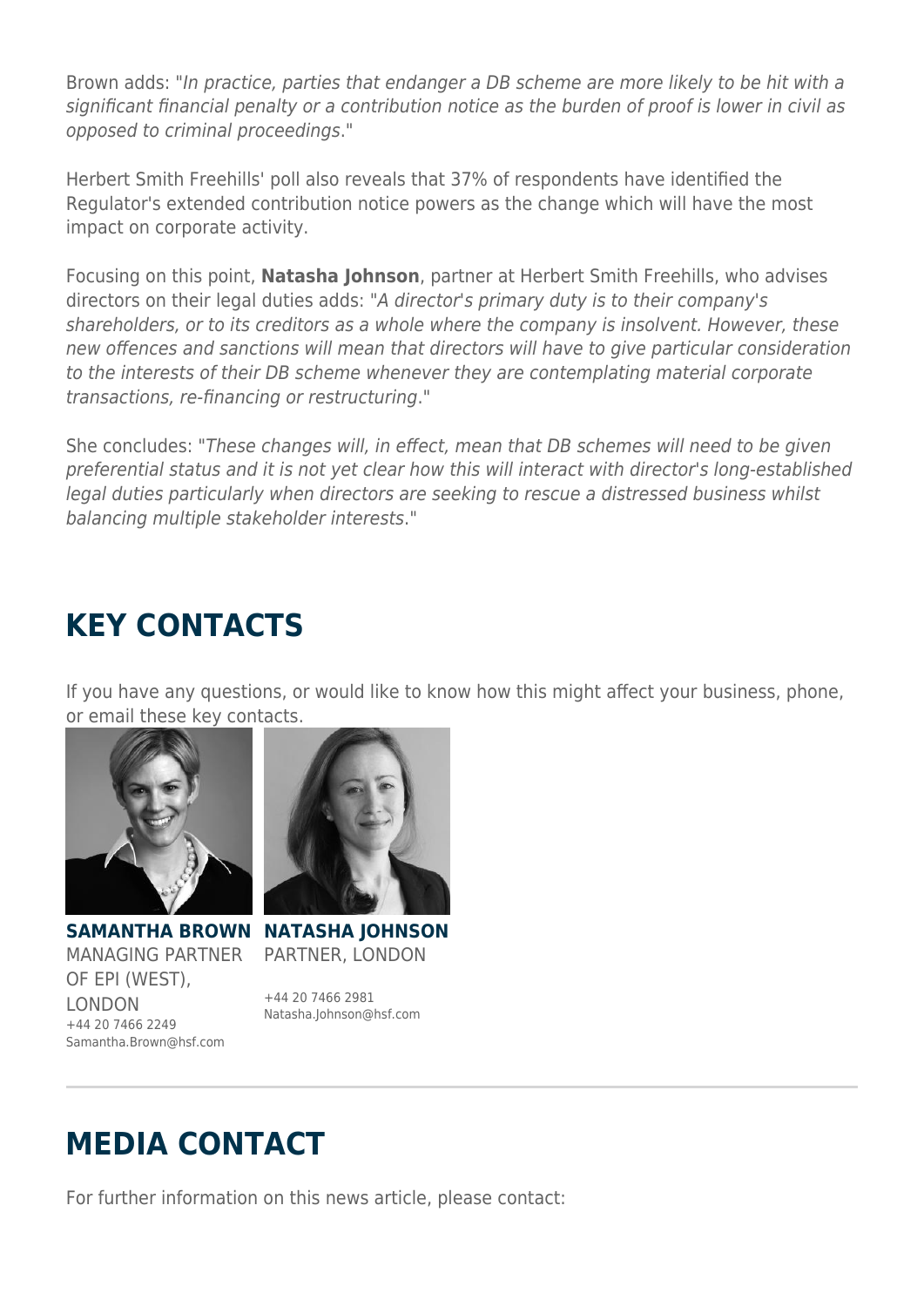Brown adds: "In practice, parties that endanger a DB scheme are more likely to be hit with a significant financial penalty or a contribution notice as the burden of proof is lower in civil as opposed to criminal proceedings."

Herbert Smith Freehills' poll also reveals that 37% of respondents have identified the Regulator's extended contribution notice powers as the change which will have the most impact on corporate activity.

Focusing on this point, **Natasha Johnson**, partner at Herbert Smith Freehills, who advises directors on their legal duties adds: "A director's primary duty is to their company's shareholders, or to its creditors as a whole where the company is insolvent. However, these new offences and sanctions will mean that directors will have to give particular consideration to the interests of their DB scheme whenever they are contemplating material corporate transactions, re-financing or restructuring."

She concludes: "These changes will, in effect, mean that DB schemes will need to be given preferential status and it is not yet clear how this will interact with director's long-established legal duties particularly when directors are seeking to rescue a distressed business whilst balancing multiple stakeholder interests."

## **KEY CONTACTS**

If you have any questions, or would like to know how this might affect your business, phone, or email these key contacts.



MANAGING PARTNER OF EPI (WEST), LONDON +44 20 7466 2249 Samantha.Brown@hsf.com



**SAMANTHA BROWN NATASHA JOHNSON** PARTNER, LONDON

+44 20 7466 2981 Natasha.Johnson@hsf.com

## **MEDIA CONTACT**

For further information on this news article, please contact: